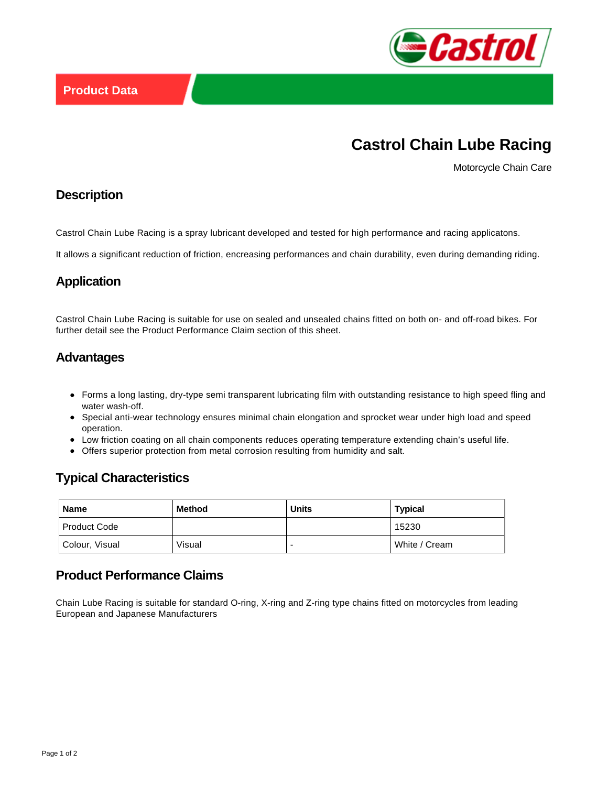

# **Castrol Chain Lube Racing**

Motorcycle Chain Care

#### **Description**

Castrol Chain Lube Racing is a spray lubricant developed and tested for high performance and racing applicatons.

It allows a significant reduction of friction, encreasing performances and chain durability, even during demanding riding.

## **Application**

Castrol Chain Lube Racing is suitable for use on sealed and unsealed chains fitted on both on- and off-road bikes. For further detail see the Product Performance Claim section of this sheet.

## **Advantages**

- Forms a long lasting, dry-type semi transparent lubricating film with outstanding resistance to high speed fling and water wash-off.
- Special anti-wear technology ensures minimal chain elongation and sprocket wear under high load and speed operation.
- Low friction coating on all chain components reduces operating temperature extending chain's useful life.
- Offers superior protection from metal corrosion resulting from humidity and salt.

## **Typical Characteristics**

| <b>Name</b>         | <b>Method</b> | <b>Units</b> | <b>Typical</b> |
|---------------------|---------------|--------------|----------------|
| <b>Product Code</b> |               |              | 15230          |
| Colour, Visual      | Visual        |              | White / Cream  |

## **Product Performance Claims**

Chain Lube Racing is suitable for standard O-ring, X-ring and Z-ring type chains fitted on motorcycles from leading European and Japanese Manufacturers